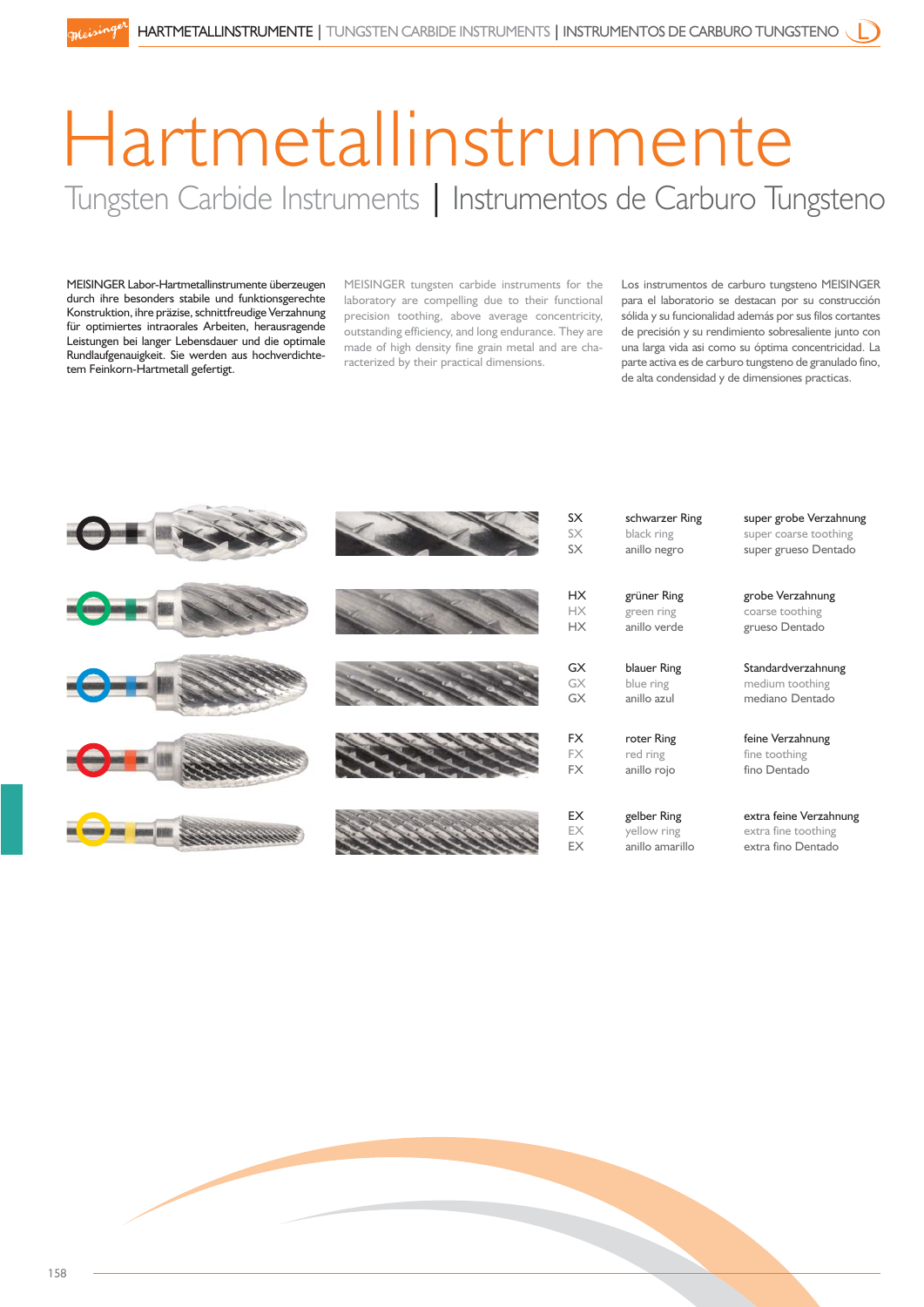## Hartmetallinstrumente Tungsten Carbide Instruments | Instrumentos de Carburo Tungsteno

MEISINGER Labor-Hartmetallinstrumente überzeugen durch ihre besonders stabile und funktionsgerechte Konstruktion, ihre präzise, schnittfreudige Verzahnung für optimiertes intraorales Arbeiten, herausragende Leistungen bei langer Lebensdauer und die optimale Rundlaufgenauigkeit. Sie werden aus hochverdichtetem Feinkorn-Hartmetall gefertigt.

MEISINGER tungsten carbide instruments for the laboratory are compelling due to their functional precision toothing, above average concentricity, outstanding efficiency, and long endurance. They are made of high density fine grain metal and are characterized by their practical dimensions.

Los instrumentos de carburo tungsteno MEISINGER para el laboratorio se destacan por su construcción sólida y su funcionalidad además por sus filos cortantes de precisión y su rendimiento sobresaliente junto con una larga vida asi como su óptima concentricidad. La parte activa es de carburo tungsteno de granulado fino, de alta condensidad y de dimensiones practicas.



| SΧ<br>SX | schwarzer Ring<br>black ring | super grobe Verzahnung<br>super coarse toothing |
|----------|------------------------------|-------------------------------------------------|
| SХ       | anillo negro                 | super grueso Dentado                            |
| НX       | grüner Ring                  | grobe Verzahnung                                |
| НX       | green ring                   | coarse toothing                                 |
| НX       | anillo verde                 | grueso Dentado                                  |
| GX       | blauer Ring                  | Standardverzahnung                              |
| GX       | blue ring                    | medium toothing                                 |
| GX       | anillo azul                  | mediano Dentado                                 |
| FX       | roter Ring                   | feine Verzahnung                                |
| FХ       | red ring                     | fine toothing                                   |
| FX       | anillo rojo                  | fino Dentado                                    |
| ЕX       | gelber Ring                  | extra feine Verzahnung                          |
| EX       | yellow ring                  | extra fine toothing                             |
| ЕX       | anillo amarillo              | extra fino Dentado                              |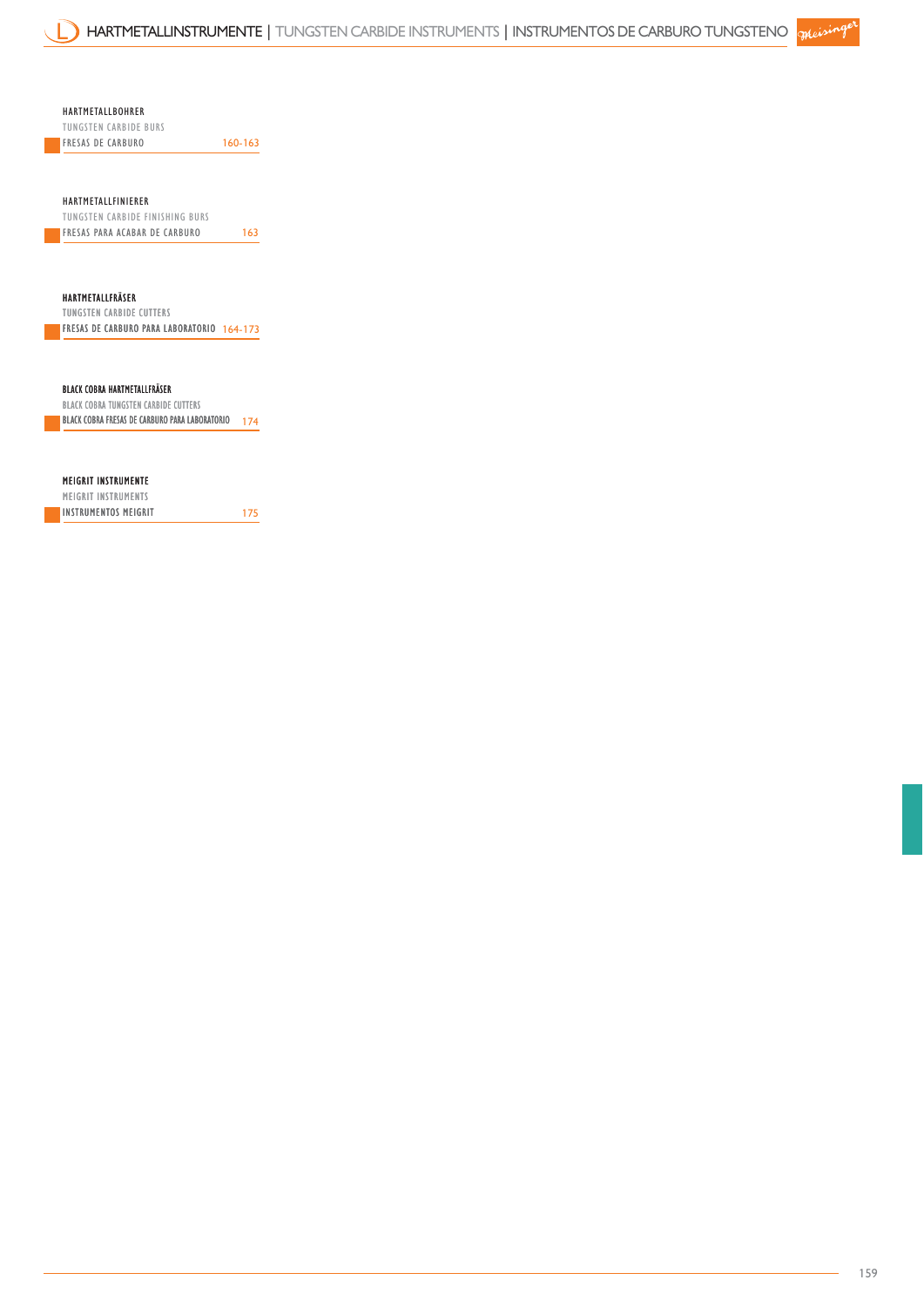HARTMETALLBOHRER

TUNGSTEN CARBIDE BURS FRESAS DE CARBURO 160-163

HARTMETALLFINIERER

TUNGSTEN CARBIDE FINISHING BURS **FRESAS PARA ACABAR DE CARBURO** 163

HARTMETALLFRÄSER TUNGSTEN CARBIDE CUTTERS

FRESAS DE CARBURO PARA LABORATORIO 164-173

BLACK COBRA HARTMETALLFRÄSER

BLACK COBRA FRESAS DE CARBURO PARA LABORATORIO 174 BLACK COBRA TUNGSTEN CARBIDE CUTTERS

MEIGRIT INSTRUMENTE

175 MEIGRIT INSTRUMENTS INSTRUMENTOS MEIGRIT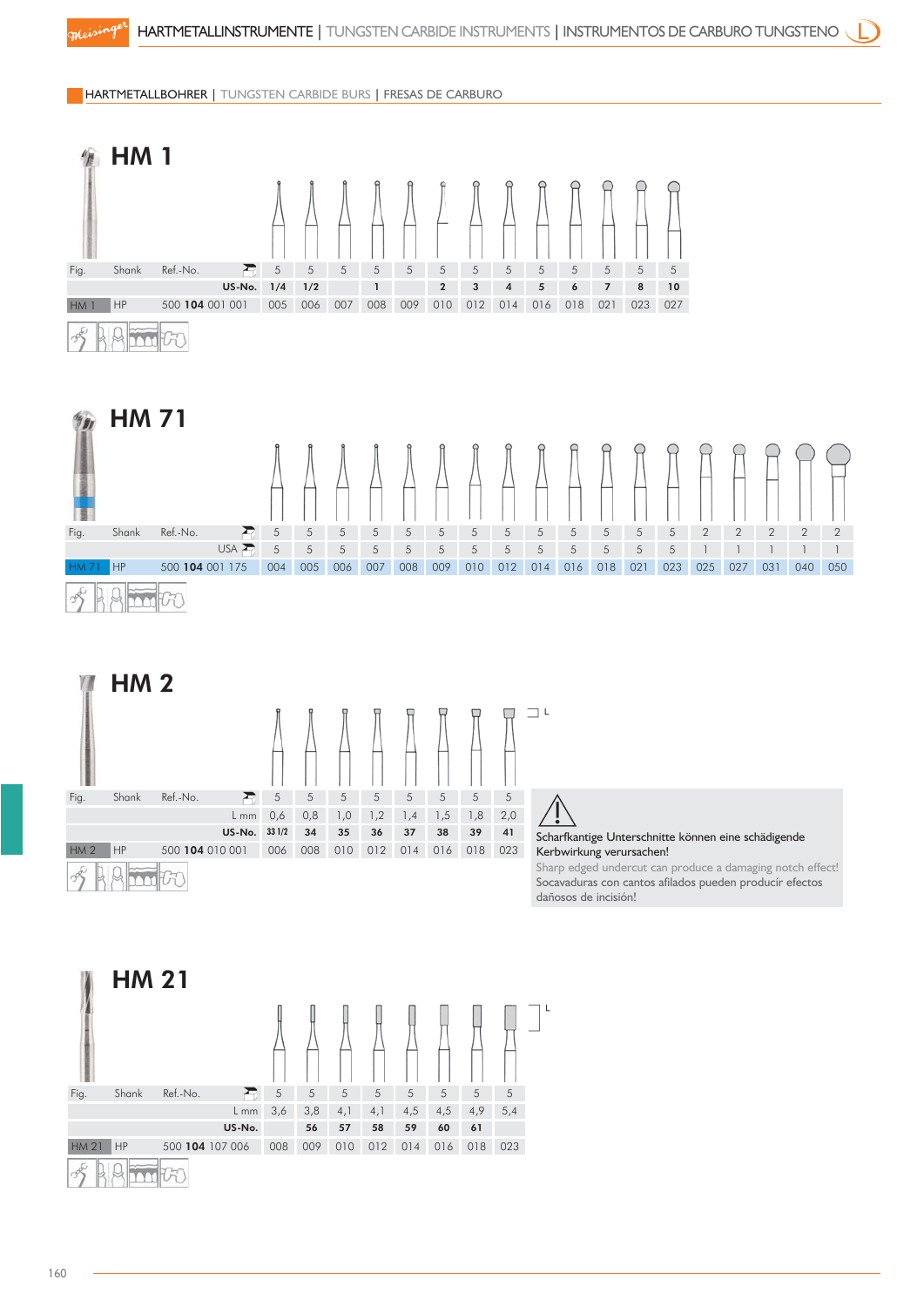HARTMETALLBOHRER | TUNGSTEN CARBIDE BURS | FRESAS DE CARBURO



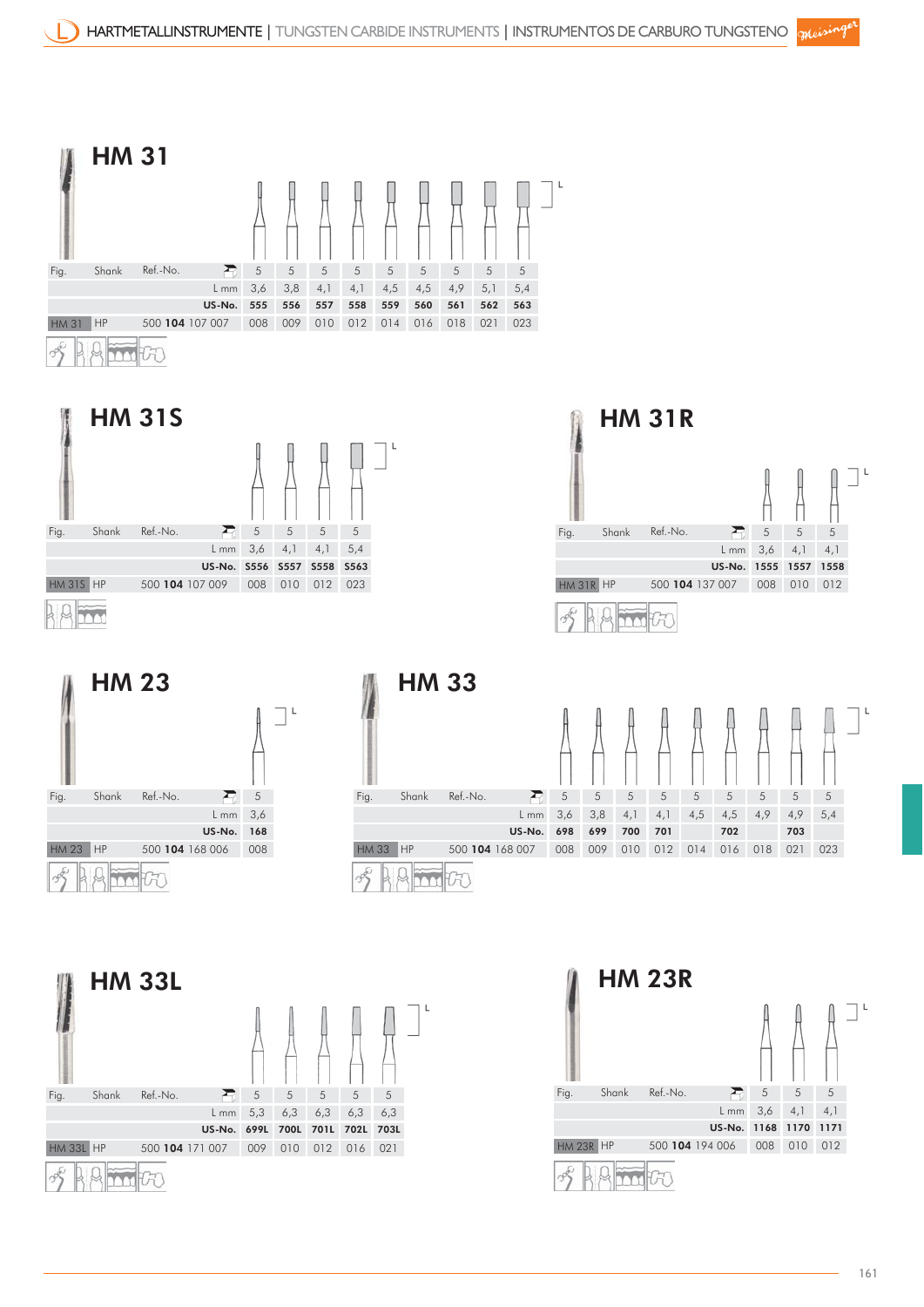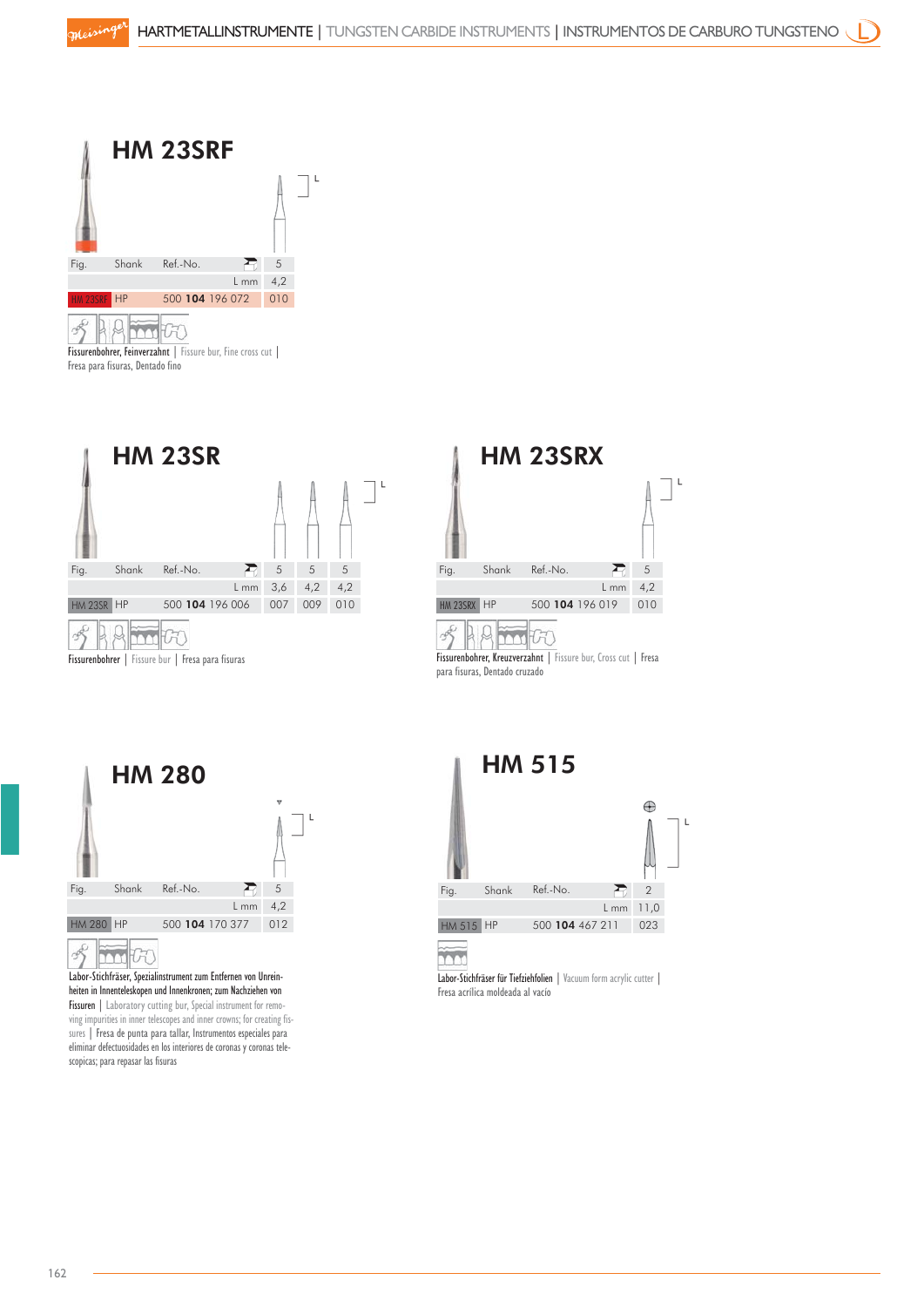

Fresa para fisuras, Dentado fino





para fisuras, Dentado cruzado



 $\overline{\phantom{a}}$ Labor-Stichfräser, Spezialinstrument zum Entfernen von Unreinheiten in Innenteleskopen und Innenkronen; zum Nachziehen von Fissuren | Laboratory cutting bur, Special instrument for removing impurities in inner telescopes and inner crowns; for creating fissures | Fresa de punta para tallar, Instrumentos especiales para eliminar defectuosidades en los interiores de coronas y coronas telescopicas; para repasar las fisuras



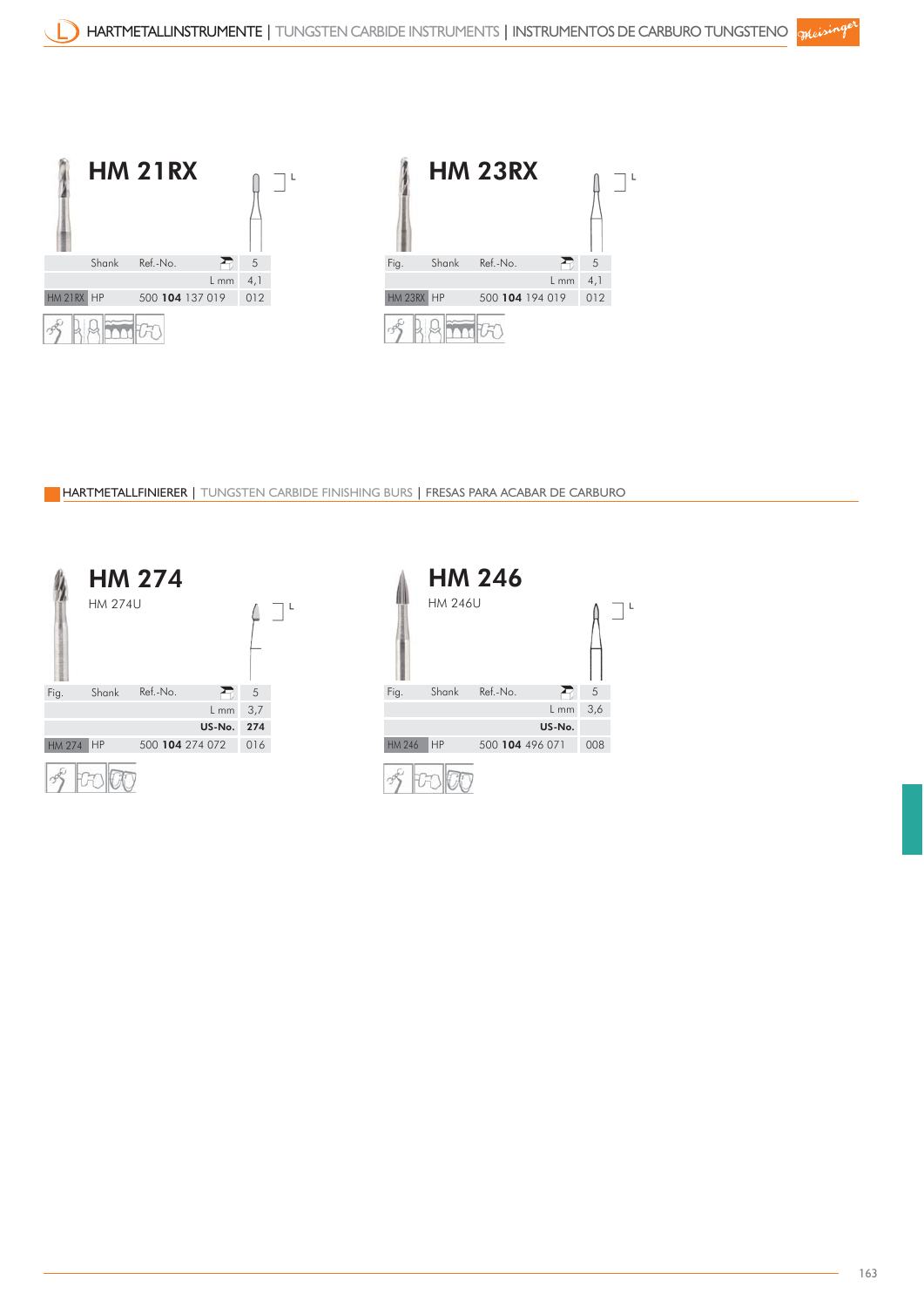

HARTMETALLFINIERER | TUNGSTEN CARBIDE FINISHING BURS | FRESAS PARA ACABAR DE CARBURO



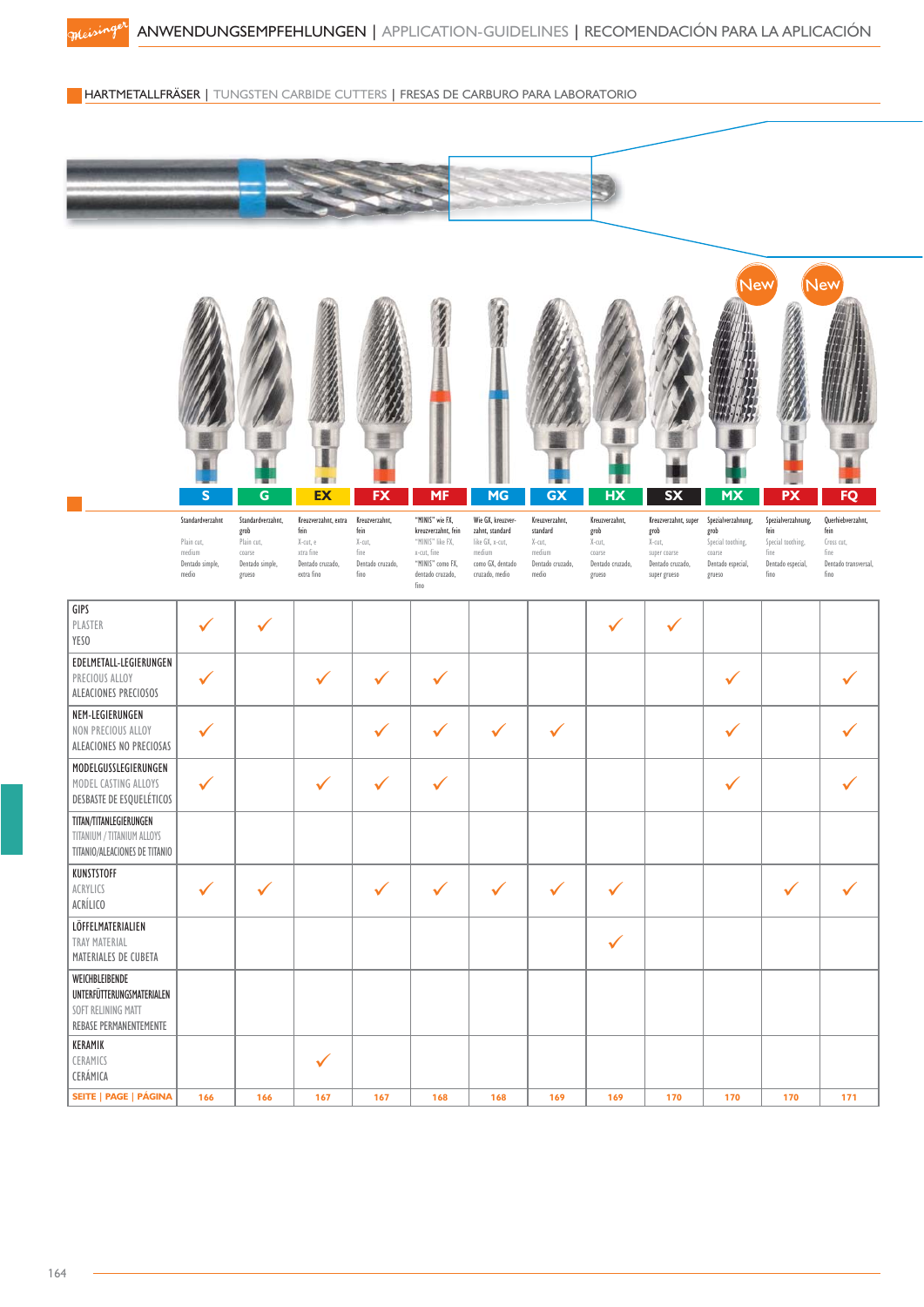HARTMETALLFRÄSER | TUNGSTEN CARBIDE CUTTERS | FRESAS DE CARBURO PARA LABORATORIO

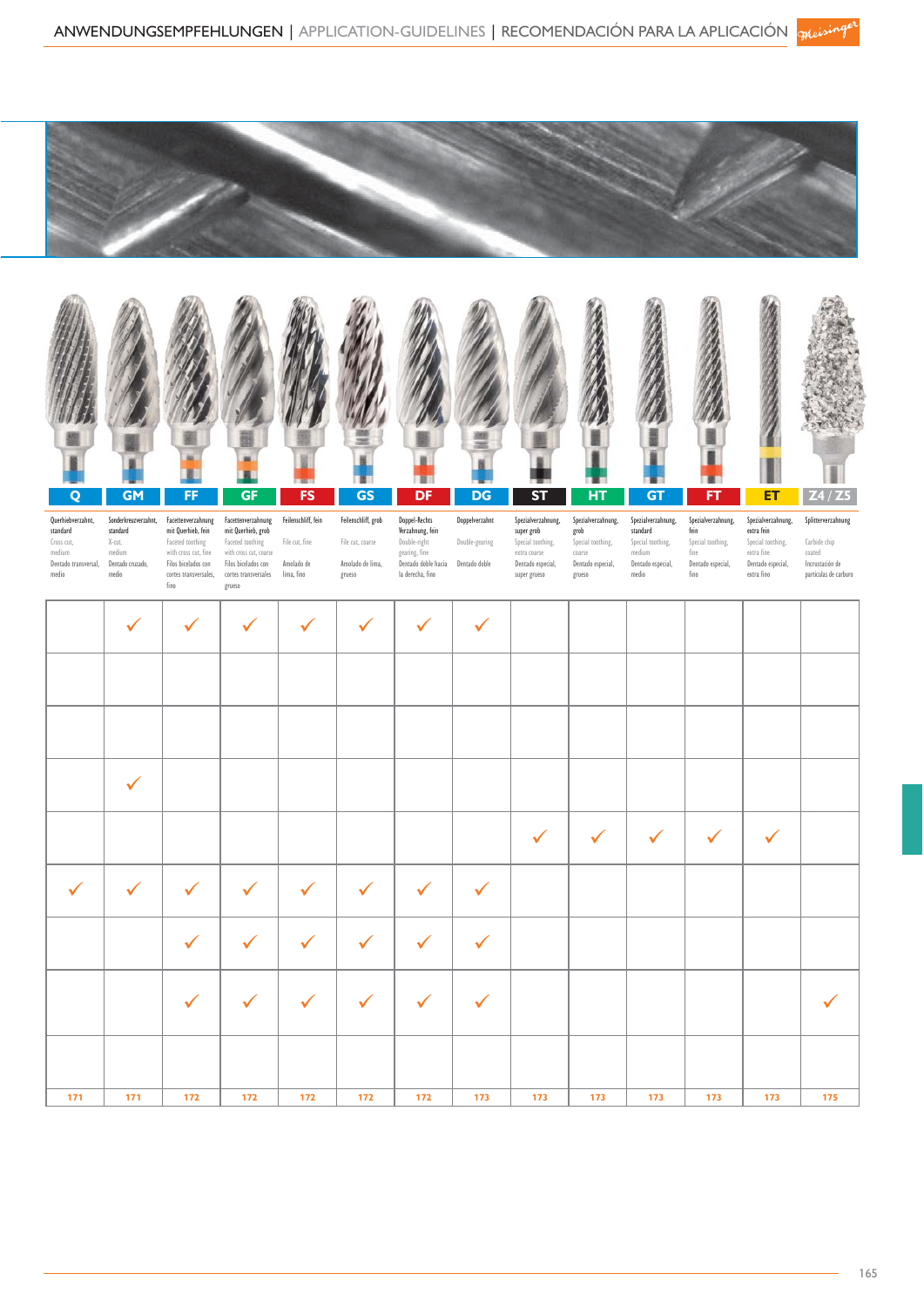



| Querhiebverzahnt,<br>standard<br>Cross cut,<br>medium<br>Dentado transversal,<br>medio | Sonderkreuzverzahnt,<br>standard<br>X-cut,<br>medium<br>Dentado cruzado,<br>medio | Facettenverzahnung<br>mit Querhieb, fein<br>Faceted toothing<br>with cross cut, fine<br>Filos bicelados con<br>cortes transversales,<br>fino | Facettenverzahnung<br>mit Querhieb, grob<br>Faceted toothing<br>with cross cut, coarse<br>Filos bicelados con<br>cortes transversales<br>grueso | Feilenschliff, fein<br>File cut, fine<br>Amolado de<br>lima, fino | Feilenschliff, grob<br>File cut, coarse<br>Amolado de lima,<br>grueso | Doppel-Rechts<br>Verzahnung, fein<br>Double-right<br>gearing, fine<br>Dentado doble hacia<br>la derecha, fino | Doppelverzahnt<br>Double-gearing<br>Dentado doble | Spezialverzahnung,<br>super grob<br>Special toothing,<br>extra coarse<br>Dentado especial,<br>super grueso | Spezialverzahnung,<br>grob<br>Special toothing,<br>coarse<br>Dentado especial,<br>grueso | Spezialverzahnung,<br>standard<br>Special toothing,<br>medium<br>Dentado especial,<br>medio | Spezialverzahnung,<br>fein<br>Special toothing,<br>fine<br>Dentado especial,<br>fino | Spezialverzahnung,<br>extra fein<br>Special toothing,<br>extra fine<br>Dentado especial,<br>extra fino | Splitterverzahnung<br>Carbide chip<br>coated<br>Incrustación de<br>particulas de carburo |
|----------------------------------------------------------------------------------------|-----------------------------------------------------------------------------------|----------------------------------------------------------------------------------------------------------------------------------------------|-------------------------------------------------------------------------------------------------------------------------------------------------|-------------------------------------------------------------------|-----------------------------------------------------------------------|---------------------------------------------------------------------------------------------------------------|---------------------------------------------------|------------------------------------------------------------------------------------------------------------|------------------------------------------------------------------------------------------|---------------------------------------------------------------------------------------------|--------------------------------------------------------------------------------------|--------------------------------------------------------------------------------------------------------|------------------------------------------------------------------------------------------|
|                                                                                        | $\checkmark$                                                                      | $\checkmark$                                                                                                                                 | ✓                                                                                                                                               | $\checkmark$                                                      | ✓                                                                     | ✓                                                                                                             | $\checkmark$                                      |                                                                                                            |                                                                                          |                                                                                             |                                                                                      |                                                                                                        |                                                                                          |
|                                                                                        |                                                                                   |                                                                                                                                              |                                                                                                                                                 |                                                                   |                                                                       |                                                                                                               |                                                   |                                                                                                            |                                                                                          |                                                                                             |                                                                                      |                                                                                                        |                                                                                          |
|                                                                                        |                                                                                   |                                                                                                                                              |                                                                                                                                                 |                                                                   |                                                                       |                                                                                                               |                                                   |                                                                                                            |                                                                                          |                                                                                             |                                                                                      |                                                                                                        |                                                                                          |
|                                                                                        | $\checkmark$                                                                      |                                                                                                                                              |                                                                                                                                                 |                                                                   |                                                                       |                                                                                                               |                                                   |                                                                                                            |                                                                                          |                                                                                             |                                                                                      |                                                                                                        |                                                                                          |
|                                                                                        |                                                                                   |                                                                                                                                              |                                                                                                                                                 |                                                                   |                                                                       |                                                                                                               |                                                   | $\checkmark$                                                                                               | $\checkmark$                                                                             | $\checkmark$                                                                                | $\checkmark$                                                                         | $\checkmark$                                                                                           |                                                                                          |
| $\checkmark$                                                                           | $\checkmark$                                                                      | ✓                                                                                                                                            | ✓                                                                                                                                               | $\checkmark$                                                      | ✓                                                                     | $\checkmark$                                                                                                  | $\checkmark$                                      |                                                                                                            |                                                                                          |                                                                                             |                                                                                      |                                                                                                        |                                                                                          |
|                                                                                        |                                                                                   | $\checkmark$                                                                                                                                 | ✓                                                                                                                                               | $\checkmark$                                                      | $\checkmark$                                                          | ✓                                                                                                             | $\checkmark$                                      |                                                                                                            |                                                                                          |                                                                                             |                                                                                      |                                                                                                        |                                                                                          |
|                                                                                        |                                                                                   | ✓                                                                                                                                            |                                                                                                                                                 |                                                                   | ✓                                                                     |                                                                                                               | $\checkmark$                                      |                                                                                                            |                                                                                          |                                                                                             |                                                                                      |                                                                                                        |                                                                                          |
|                                                                                        |                                                                                   |                                                                                                                                              |                                                                                                                                                 |                                                                   |                                                                       |                                                                                                               |                                                   |                                                                                                            |                                                                                          |                                                                                             |                                                                                      |                                                                                                        |                                                                                          |
| 171                                                                                    | 171                                                                               | 172                                                                                                                                          | 172                                                                                                                                             | 172                                                               | 172                                                                   | 172                                                                                                           | 173                                               | 173                                                                                                        | 173                                                                                      | 173                                                                                         | 173                                                                                  | 173                                                                                                    | 175                                                                                      |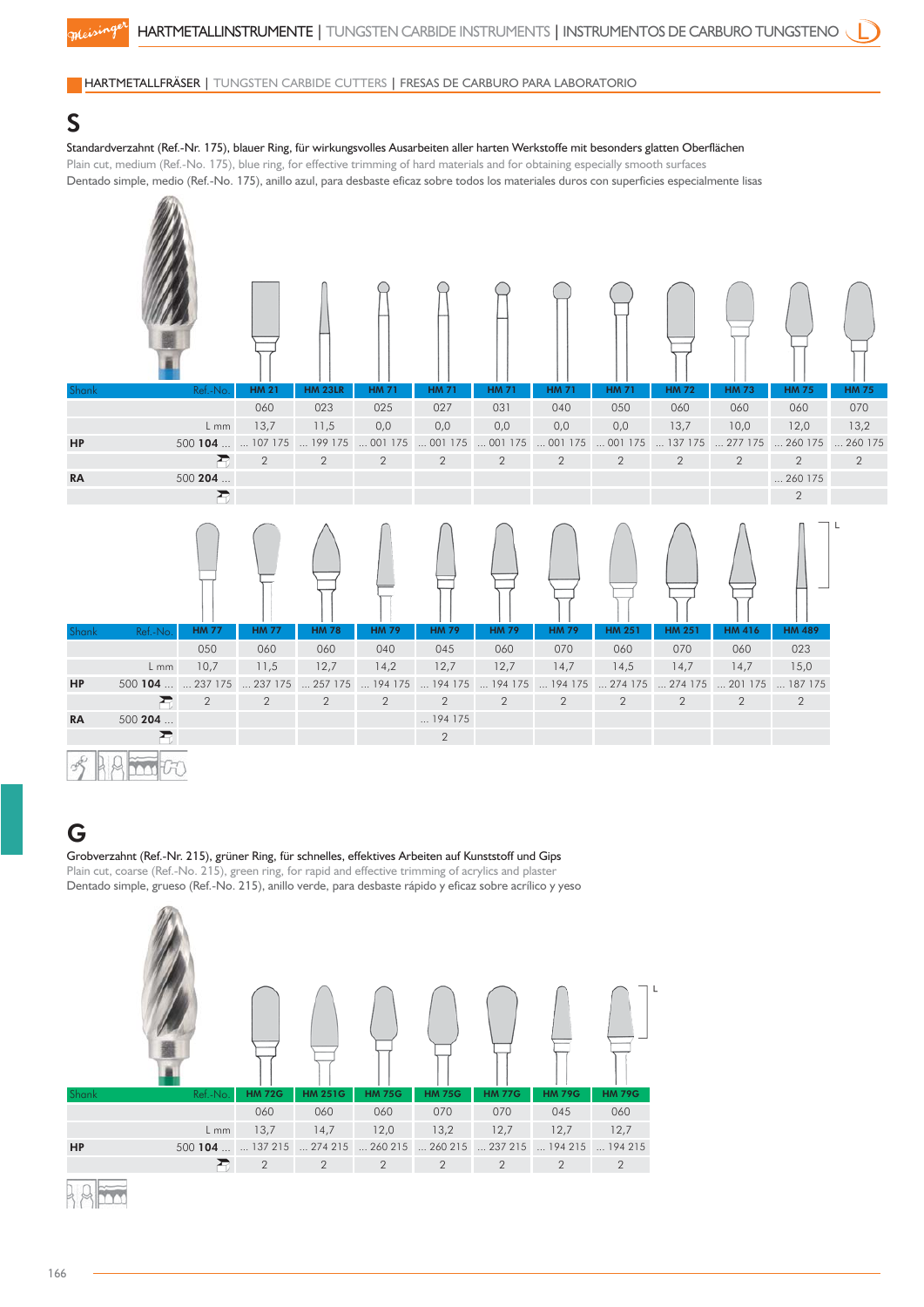#### HARTMETALLFRÄSER | TUNGSTEN CARBIDE CUTTERS | FRESAS DE CARBURO PARA LABORATORIO

#### S

#### Standardverzahnt (Ref.-Nr. 175), blauer Ring, für wirkungsvolles Ausarbeiten aller harten Werkstoffe mit besonders glatten Oberflächen

Plain cut, medium (Ref.-No. 175), blue ring, for effective trimming of hard materials and for obtaining especially smooth surfaces Dentado simple, medio (Ref.-No. 175), anillo azul, para desbaste eficaz sobre todos los materiales duros con superficies especialmente lisas



#### G

#### Grobverzahnt (Ref.-Nr. 215), grüner Ring, für schnelles, effektives Arbeiten auf Kunststoff und Gips Plain cut, coarse (Ref.-No. 215), green ring, for rapid and effective trimming of acrylics and plaster

Dentado simple, grueso (Ref.-No. 215), anillo verde, para desbaste rápido y eficaz sobre acrílico y yeso

| <b>Shank</b> | Ref.-No.          | <b>HM 72G</b>  | <b>HM 251G</b>                    | <b>HM 75G</b>  | <b>HM 75G</b>  | <b>HM 77G</b>                                                       | <b>HM 79G</b>  | <b>HM 79G</b> |  |
|--------------|-------------------|----------------|-----------------------------------|----------------|----------------|---------------------------------------------------------------------|----------------|---------------|--|
|              |                   | 060            | 060                               | 060            | 070            | 070                                                                 | 045            | 060           |  |
|              | $L$ mm            | 13,7           | 14,7                              | 12,0           | 13,2           | 12,7                                                                | 12,7           | 12,7          |  |
| <b>HP</b>    | 500 104   137 215 |                | $\ldots$ 274 215 $\ldots$ 260 215 |                |                | $\ldots$ 260 215 $\ldots$ 237 215 $\ldots$ 194 215 $\ldots$ 194 215 |                |               |  |
|              |                   | $\overline{2}$ | $\overline{2}$                    | $\overline{2}$ | $\overline{2}$ | $\overline{2}$                                                      | $\overline{2}$ | 2             |  |
|              |                   |                |                                   |                |                |                                                                     |                |               |  |

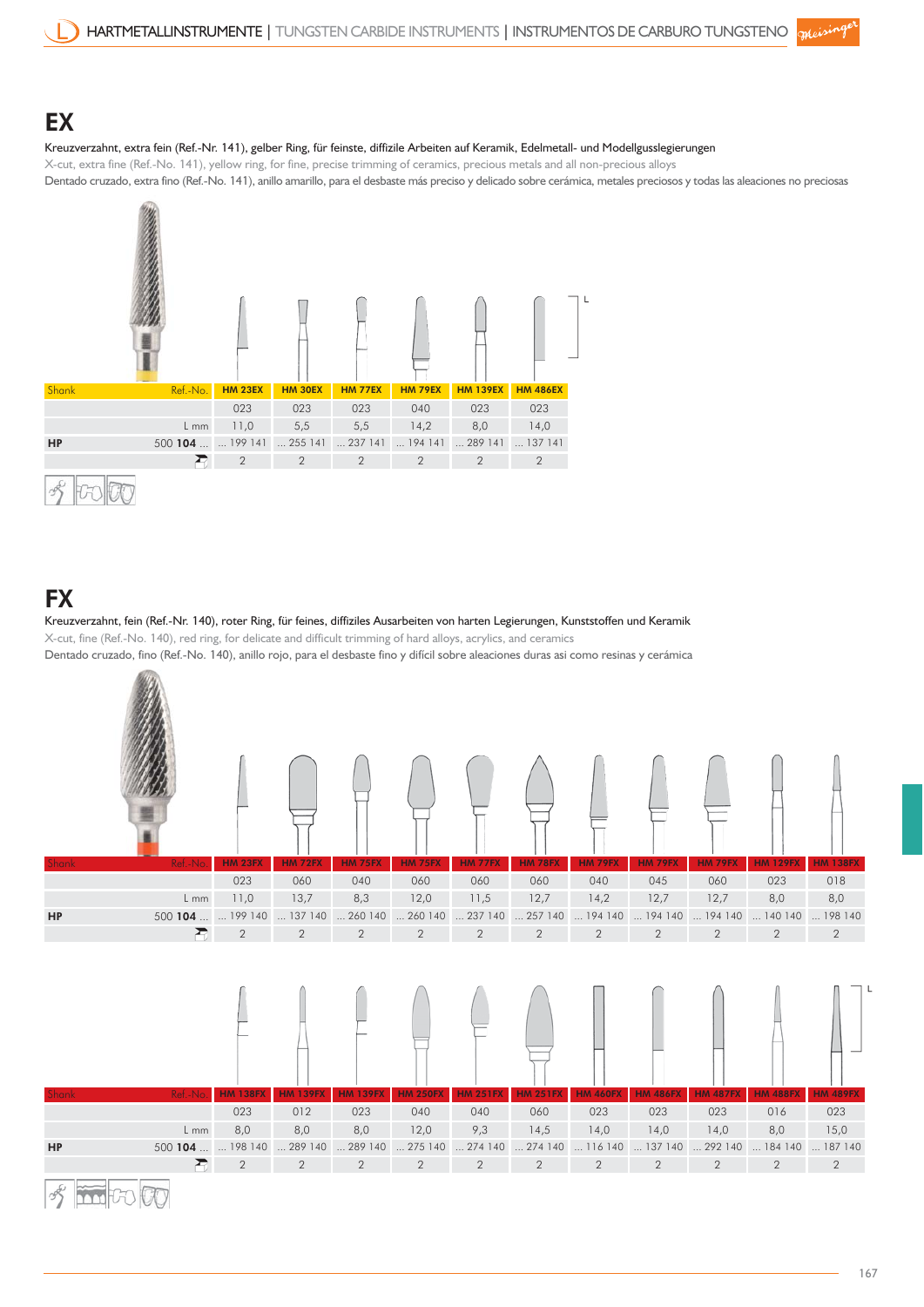### **EX**

#### Kreuzverzahnt, extra fein (Ref.-Nr. 141), gelber Ring, für feinste, diffizile Arbeiten auf Keramik, Edelmetall- und Modellgusslegierungen

X-cut, extra fine (Ref.-No. 141), yellow ring, for fine, precise trimming of ceramics, precious metals and all non-precious alloys Dentado cruzado, extra fino (Ref.-No. 141), anillo amarillo, para el desbaste más preciso y delicado sobre cerámica, metales preciosos y todas las aleaciones no preciosas



### **FX**

Kreuzverzahnt, fein (Ref.-Nr. 140), roter Ring, für feines, diffiziles Ausarbeiten von harten Legierungen, Kunststoffen und Keramik X-cut, fine (Ref.-No. 140), red ring, for delicate and difficult trimming of hard alloys, acrylics, and ceramics Dentado cruzado, fino (Ref.-No. 140), anillo rojo, para el desbaste fino y difícil sobre aleaciones duras asi como resinas y cerámica

| Shank        | Ref.-No                             | <b>HM 23FX</b><br>023 | <b>HM 72FX</b><br>060 | <b>HM 75FX</b><br>040                           | <b>HM 75FX</b><br>060 | <b>HM 77FX</b><br>060 | <b>HM 78FX</b><br>060                           | <b>HM 79FX</b><br>040 | <b>HM 79FX</b><br>045                                                  | <b>HM 79FX</b><br>060                              | <b>HM 129FX</b><br>023 | <b>HM 138FX</b><br>018 |
|--------------|-------------------------------------|-----------------------|-----------------------|-------------------------------------------------|-----------------------|-----------------------|-------------------------------------------------|-----------------------|------------------------------------------------------------------------|----------------------------------------------------|------------------------|------------------------|
|              | $L$ mm                              | 11,0                  | 13,7                  | 8,3                                             | 12,0                  | 11,5                  | 12,7                                            | 14,2                  | 12,7                                                                   | 12,7                                               | 8,0                    | 8,0                    |
| HP           | 500 104   199 140                   |                       |                       | $\dots$ 137 140 $\dots$ 260 140 $\dots$ 260 140 |                       |                       | $\dots$ 237 140 $\dots$ 257 140 $\dots$ 194 140 |                       |                                                                        | $\ldots$ 194 140 $\ldots$ 194 140 $\ldots$ 140 140 |                        | $\dots$ 198 140        |
|              | 弔                                   | $\overline{2}$        | $\overline{2}$        | $\overline{2}$                                  | $\overline{2}$        | $\overline{2}$        | $\overline{2}$                                  | $\overline{2}$        | $\mathbf{2}$                                                           | $\overline{2}$                                     | $\overline{2}$         | $\overline{2}$         |
| <b>Shank</b> | Ref.-No.                            | <b>HM 138FX</b>       | <b>HM 139FX</b>       | <b>HM 139FX</b>                                 | <b>HM 250FX</b>       | <b>HM 251FX</b>       | <b>HM 251FX</b>                                 | <b>HM 460FX</b>       | <b>HM 486FX</b>                                                        | <b>HM 487FX</b>                                    | <b>HM 488FX</b>        | <b>HM 489FX</b>        |
|              |                                     | 023                   | 012                   | 023                                             | 040                   | 040                   | 060                                             | 023                   | 023                                                                    | 023                                                | 016                    | 023                    |
|              | $L$ mm                              | 8,0                   | 8,0                   | 8,0                                             | 12,0                  | 9,3                   | 14,5                                            | 14,0                  | 14,0                                                                   | 14,0                                               | 8,0                    | 15,0                   |
| <b>HP</b>    | 500 104   198 140  289 140  289 140 |                       |                       |                                                 |                       |                       |                                                 |                       | 275 140  274 140  274 140  116 140  137 140  292 140  184 140  187 140 |                                                    |                        |                        |
|              | 否                                   | $\overline{2}$        | 2                     | $\overline{2}$                                  | $\overline{2}$        | 2                     | $\overline{2}$                                  | $\overline{2}$        | 2                                                                      | $\overline{2}$                                     | $\overline{2}$         | $\overline{2}$         |
|              |                                     |                       |                       |                                                 |                       |                       |                                                 |                       |                                                                        |                                                    |                        |                        |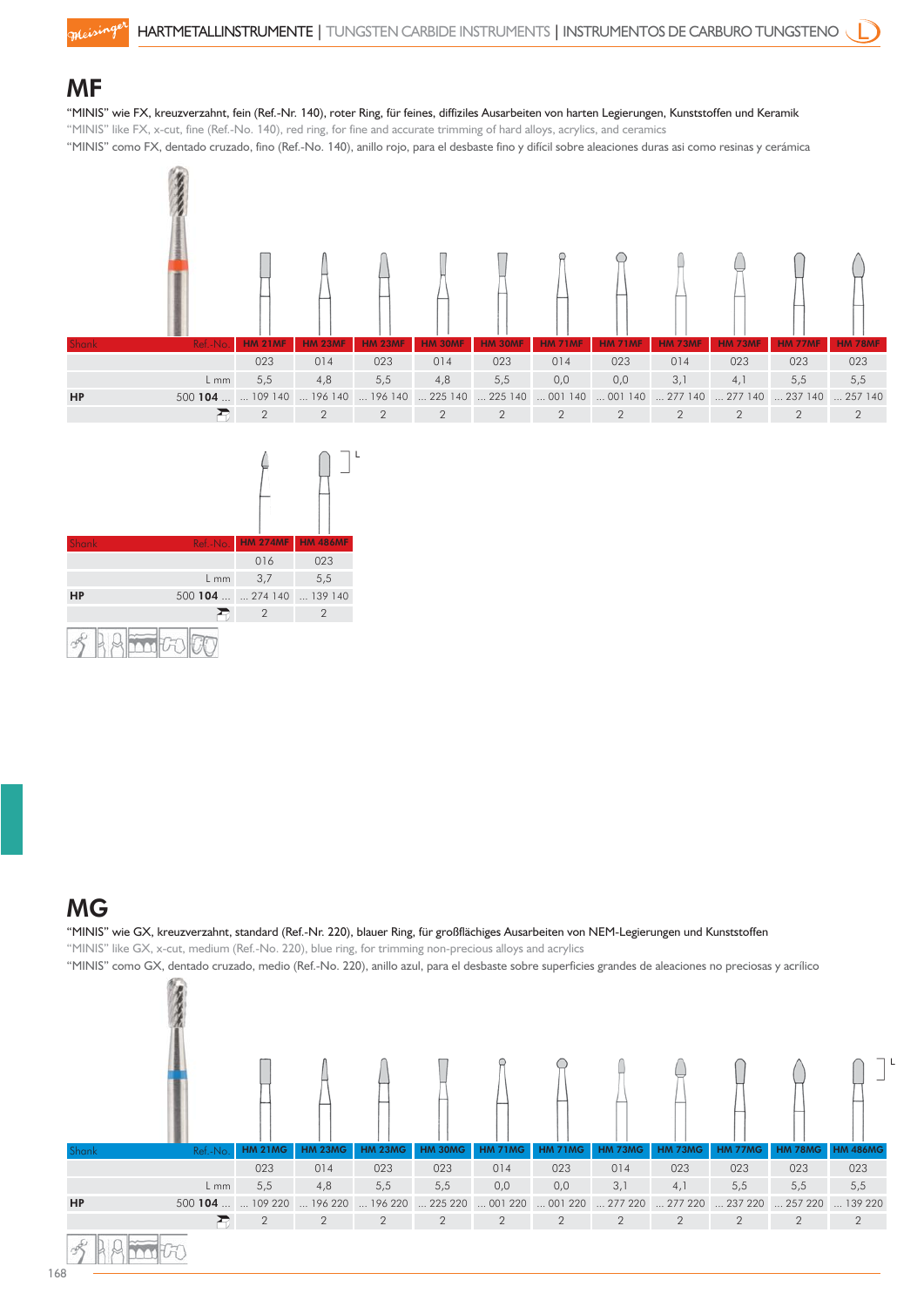### MF

"MINIS" wie FX, kreuzverzahnt, fein (Ref.-Nr. 140), roter Ring, für feines, diffiziles Ausarbeiten von harten Legierungen, Kunststoffen und Keramik

"MINIS" like FX, x-cut, fine (Ref.-No. 140), red ring, for fine and accurate trimming of hard alloys, acrylics, and ceramics

"MINIS" como FX, dentado cruzado, fino (Ref.-No. 140), anillo rojo, para el desbaste fino y difícil sobre aleaciones duras asi como resinas y cerámica





### MG

#### "MINIS" wie GX, kreuzverzahnt, standard (Ref.-Nr. 220), blauer Ring, für großflächiges Ausarbeiten von NEM-Legierungen und Kunststoffen

"MINIS" like GX, x-cut, medium (Ref.-No. 220), blue ring, for trimming non-precious alloys and acrylics

"MINIS" como GX, dentado cruzado, medio (Ref.-No. 220), anillo azul, para el desbaste sobre superficies grandes de aleaciones no preciosas y acrílico

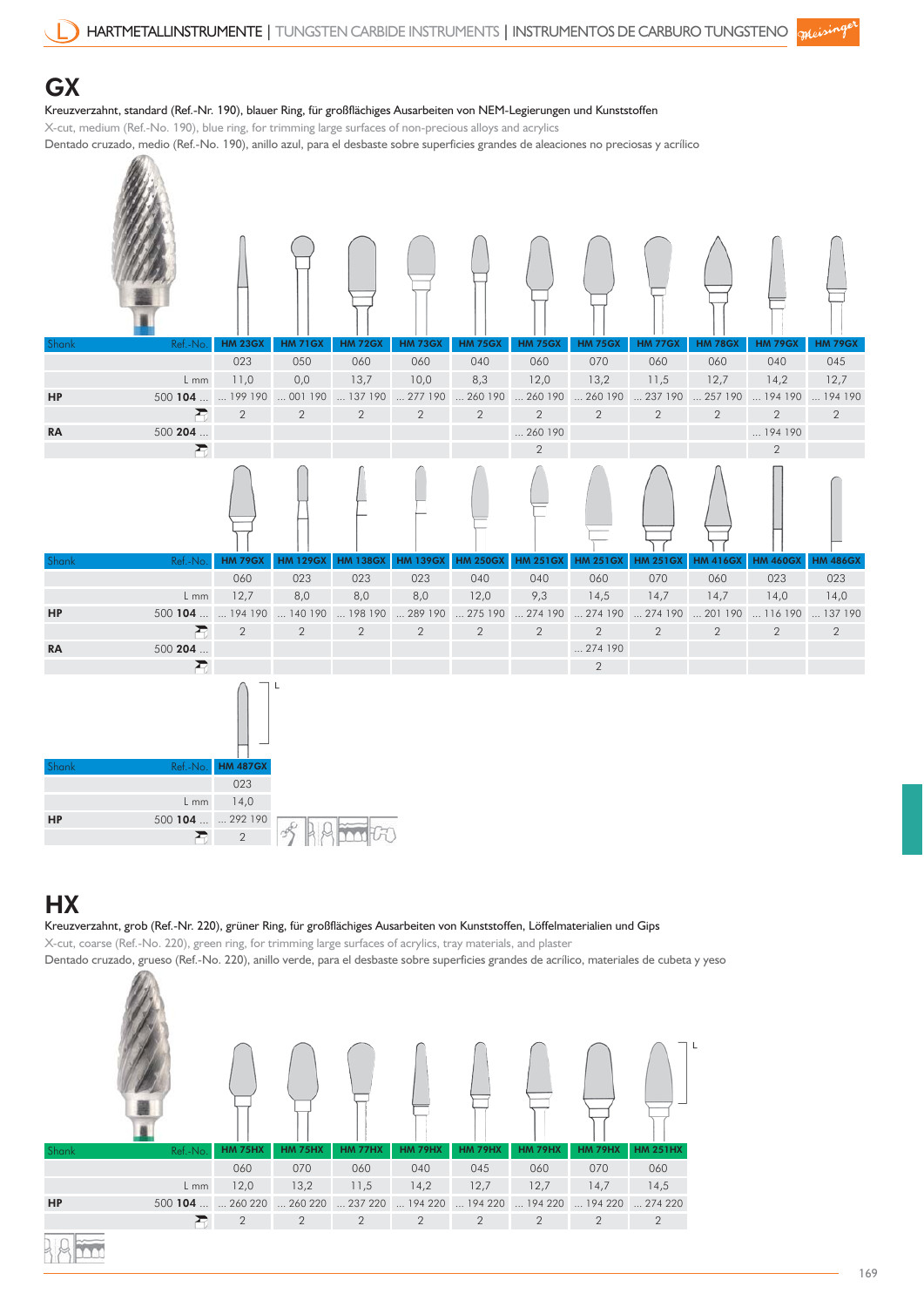#### **GX**

#### Kreuzverzahnt, standard (Ref.-Nr. 190), blauer Ring, für großflächiges Ausarbeiten von NEM-Legierungen und Kunststoffen

X-cut, medium (Ref.-No. 190), blue ring, for trimming large surfaces of non-precious alloys and acrylics

Dentado cruzado, medio (Ref.-No. 190), anillo azul, para el desbaste sobre superficies grandes de aleaciones no preciosas y acrílico  $\mathscr{R}$ 

| Shank     | Ref.-No                | <b>HM 23GX</b><br>023 | <b>HM 71GX</b><br>050    | <b>HM 72GX</b><br>060 | <b>HM 73GX</b><br>060     | <b>HM 75GX</b><br>040             | <b>HM 75GX</b><br>060 | <b>HM 75GX</b><br>070              | <b>HM 77GX</b><br>060  | <b>HM 78GX</b><br>060         | <b>HM 79GX</b><br>040    | <b>HM 79GX</b><br>045 |
|-----------|------------------------|-----------------------|--------------------------|-----------------------|---------------------------|-----------------------------------|-----------------------|------------------------------------|------------------------|-------------------------------|--------------------------|-----------------------|
|           | L mm                   | 11,0                  | 0,0                      | 13,7                  | 10,0                      | 8,3                               | 12,0                  | 13,2                               | 11,5                   | 12,7                          | 14,2                     | 12,7                  |
| HP        | 500 104   199 190      |                       | $\dots$ 001 190          | $\dots$ 137 190       | 277190                    | 260 190                           | $\dots$ 260 190       | 260 190                            | 237190                 | 257190                        | 194 190  194 190         |                       |
|           | 置                      | $\overline{2}$        | $\mathbf{2}$             | $\mathbf{2}$          | $\sqrt{2}$                | $\overline{2}$                    | $\overline{2}$        | $\overline{2}$                     | $\mathbf{2}$           | $\sqrt{2}$                    | $\sqrt{2}$               | $\mathbf{2}$          |
| <b>RA</b> | $500$ 204 $\ldots$     |                       |                          |                       |                           |                                   | 260 190               |                                    |                        |                               | 194 190                  |                       |
|           | 置                      |                       |                          |                       |                           |                                   | $\overline{2}$        |                                    |                        |                               | $\sqrt{2}$               |                       |
|           |                        |                       |                          |                       |                           |                                   |                       |                                    |                        |                               |                          |                       |
| Shank     | Ref.-No.               | <b>HM 79GX</b>        | <b>HM 129GX</b>          | <b>HM 138GX</b>       | <b>HM 139GX</b>           | <b>HM 250GX</b>                   | <b>HM 251GX</b>       | <b>HM 251GX</b>                    | <b>HM 251GX</b>        | <b>HM 416GX</b>               | <b>HM 460GX</b>          | <b>HM 486GX</b>       |
|           |                        | 060                   | 023                      | 023                   | 023                       | 040                               | 040                   | 060                                | 070                    | 060                           | 023                      | 023                   |
|           | $L$ mm                 | 12,7                  | 8,0                      | 8,0<br>198 190        | 8,0                       | 12,0                              | 9,3                   | 14,5                               | 14,7                   | 14,7                          | 14,0<br>116 190  137 190 | 14,0                  |
| HP        | 500 104   194 190<br>君 | $\overline{2}$        | 140190<br>$\overline{2}$ | $\mathbf{2}$          | 289 190<br>$\overline{2}$ | $\dots$ 275 190<br>$\overline{2}$ | $\overline{2}$        | 274 190  274 190<br>$\overline{2}$ | 274190<br>$\mathbf{2}$ | $\dots$ 201 190<br>$\sqrt{2}$ | $\overline{2}$           | $\overline{2}$        |
| <b>RA</b> | 500204                 |                       |                          |                       |                           |                                   |                       | 274 190                            |                        |                               |                          |                       |
|           | 否                      |                       |                          |                       |                           |                                   |                       | $\overline{2}$                     |                        |                               |                          |                       |
| Shank     | Ref.-No                | <b>HM 487GX</b>       |                          |                       |                           |                                   |                       |                                    |                        |                               |                          |                       |
|           |                        | 023                   |                          |                       |                           |                                   |                       |                                    |                        |                               |                          |                       |
|           | L mm                   | 14,0                  |                          |                       |                           |                                   |                       |                                    |                        |                               |                          |                       |
| HP        | 500 104   292 190      |                       | c, b, c                  |                       |                           |                                   |                       |                                    |                        |                               |                          |                       |

### **HX**

Kreuzverzahnt, grob (Ref.-Nr. 220), grüner Ring, für großflächiges Ausarbeiten von Kunststoffen, Löffelmaterialien und Gips

X-cut, coarse (Ref.-No. 220), green ring, for trimming large surfaces of acrylics, tray materials, and plaster

2

Dentado cruzado, grueso (Ref.-No. 220), anillo verde, para el desbaste sobre superficies grandes de acrílico, materiales de cubeta y yeso  $\mathbb{Z}$ 

 $H^+$ 

|       |                                                                         |                |                |                |                |                |                |                |                 | L |
|-------|-------------------------------------------------------------------------|----------------|----------------|----------------|----------------|----------------|----------------|----------------|-----------------|---|
| Shank | Ref.-No.                                                                | <b>HM 75HX</b> | <b>HM 75HX</b> | <b>HM 77HX</b> | <b>HM 79HX</b> | <b>HM 79HX</b> | <b>HM 79HX</b> | <b>HM 79HX</b> | <b>HM 251HX</b> |   |
|       |                                                                         | 060            | 070            | 060            | 040            | 045            | 060            | 070            | 060             |   |
|       | L mm                                                                    | 12,0           | 13,2           | 11,5           | 14,2           | 12,7           | 12,7           | 14,7           | 14,5            |   |
| HP    | 500 104   260 220  260 220  237 220  194 220  194 220  194 220  194 220 |                |                |                |                |                |                |                | 274220          |   |
|       |                                                                         | $\overline{2}$ | 2              | 2              | 2              | $\overline{2}$ | 2              | $\overline{2}$ | $\overline{2}$  |   |
|       |                                                                         |                |                |                |                |                |                |                |                 |   |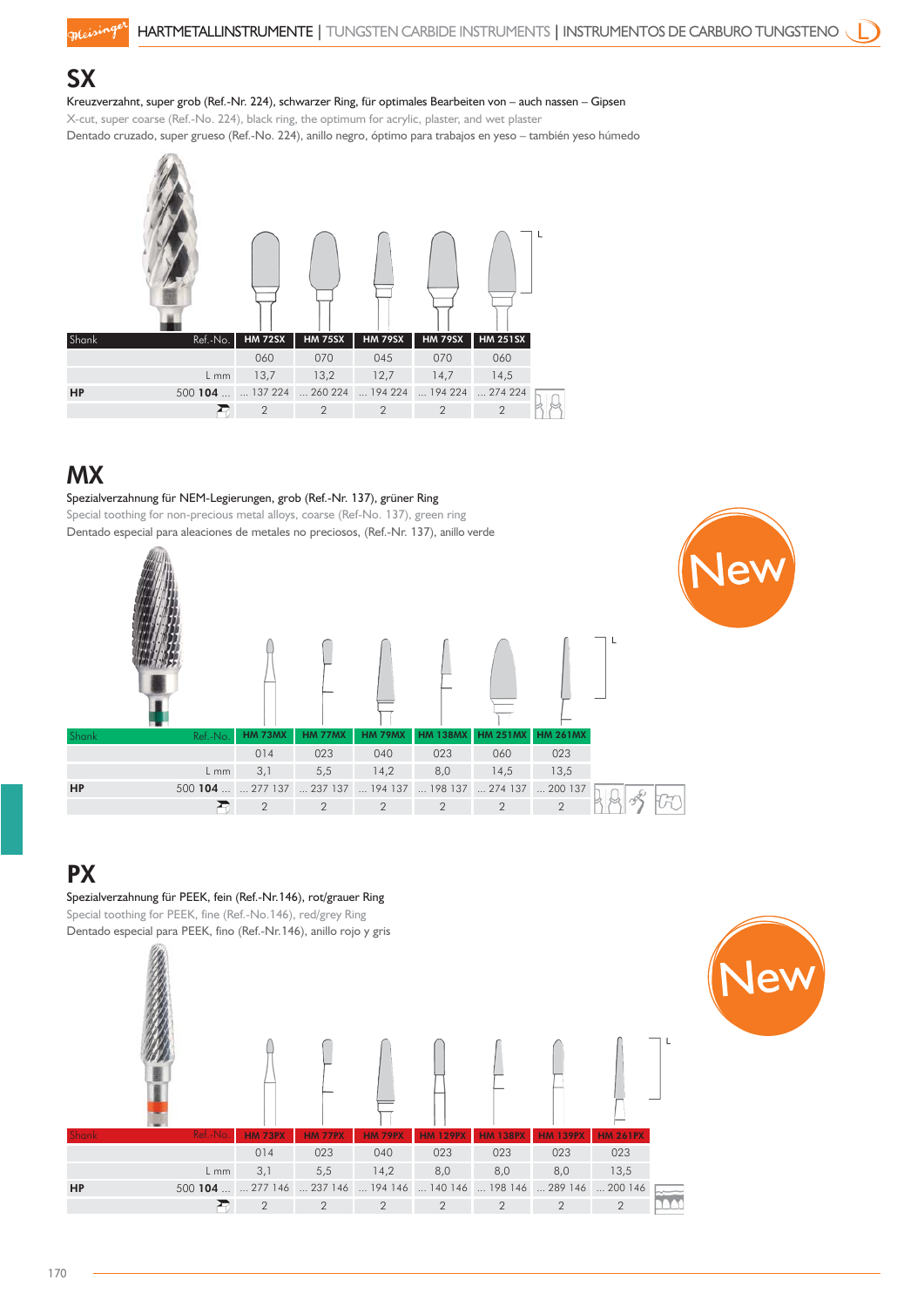#### **SX**

meising

#### Kreuzverzahnt, super grob (Ref.-Nr. 224), schwarzer Ring, für optimales Bearbeiten von – auch nassen – Gipsen

X-cut, super coarse (Ref.-No. 224), black ring, the optimum for acrylic, plaster, and wet plaster Dentado cruzado, super grueso (Ref.-No. 224), anillo negro, óptimo para trabajos en yeso – también yeso húmedo



### MX

#### Spezialverzahnung für NEM-Legierungen, grob (Ref.-Nr. 137), grüner Ring

Special toothing for non-precious metal alloys, coarse (Ref-No. 137), green ring Dentado especial para aleaciones de metales no preciosos, (Ref.-Nr. 137), anillo verde



#### **PX**

#### Spezialverzahnung für PEEK, fein (Ref.-Nr.146), rot/grauer Ring

Special toothing for PEEK, fine (Ref.-No.146), red/grey Ring Dentado especial para PEEK, fino (Ref.-Nr.146), anillo rojo y gris



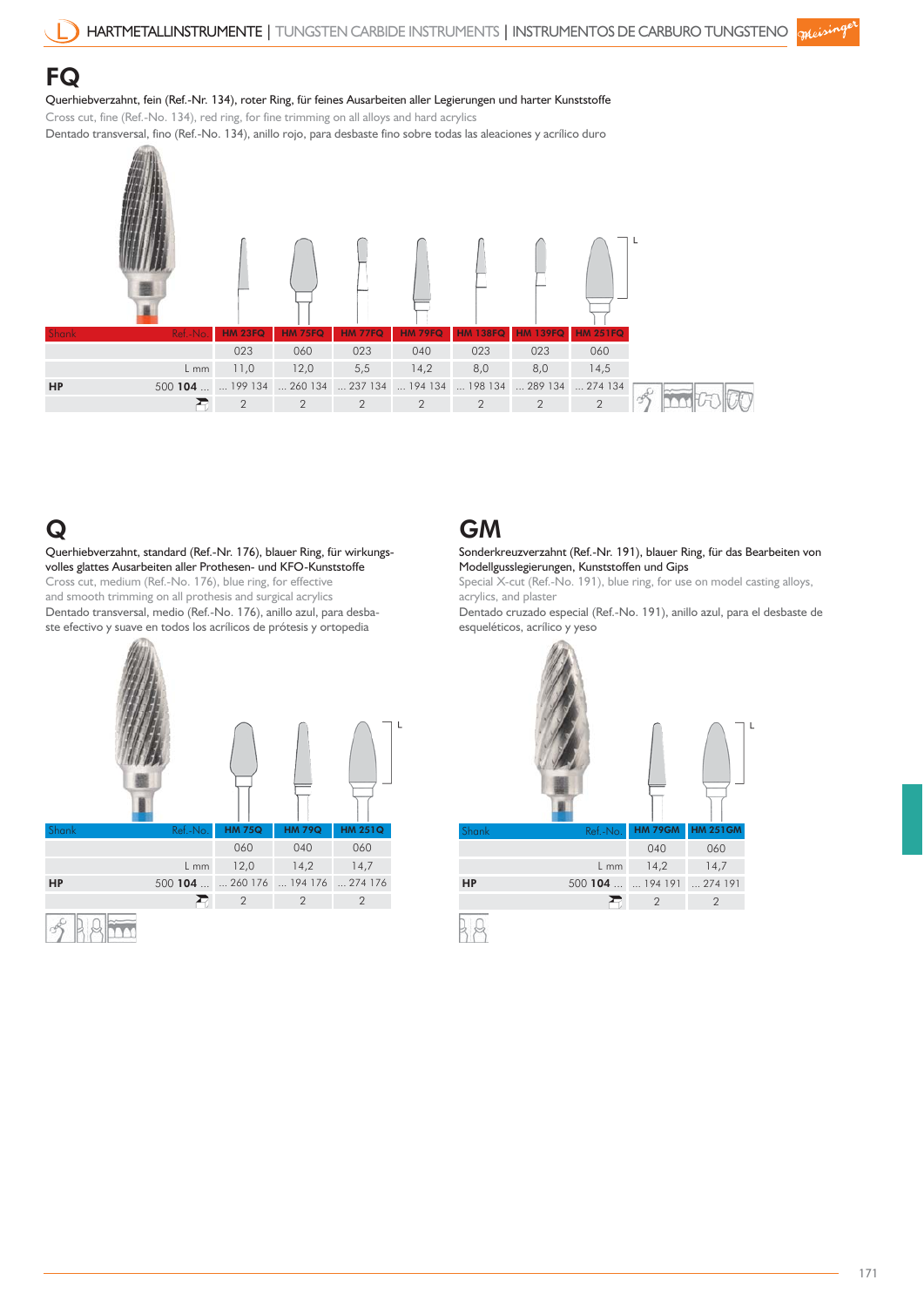#### FQ

#### Querhiebverzahnt, fein (Ref.-Nr. 134), roter Ring, für feines Ausarbeiten aller Legierungen und harter Kunststoffe

Cross cut, fine (Ref.-No. 134), red ring, for fine trimming on all alloys and hard acrylics Dentado transversal, fino (Ref.-No. 134), anillo rojo, para desbaste fino sobre todas las aleaciones y acrílico duro



### Q

Querhiebverzahnt, standard (Ref.-Nr. 176), blauer Ring, für wirkungsvolles glattes Ausarbeiten aller Prothesen- und KFO-Kunststoffe Cross cut, medium (Ref.-No. 176), blue ring, for effective and smooth trimming on all prothesis and surgical acrylics Dentado transversal, medio (Ref.-No. 176), anillo azul, para desbaste efectivo y suave en todos los acrílicos de prótesis y ortopedia



### GM

Sonderkreuzverzahnt (Ref.-Nr. 191), blauer Ring, für das Bearbeiten von Modellgusslegierungen, Kunststoffen und Gips

Special X-cut (Ref.-No. 191), blue ring, for use on model casting alloys, acrylics, and plaster

Dentado cruzado especial (Ref.-No. 191), anillo azul, para el desbaste de esqueléticos, acrílico y yeso

|       |          |                |                 | L |
|-------|----------|----------------|-----------------|---|
| Shank | Ref.-No. | <b>HM 79GM</b> | <b>HM 251GM</b> |   |
|       |          | 040            | 060             |   |
|       | L mm     | 14,2           | 14,7            |   |
| HP    | 500104   | 194191         | 274191          |   |
|       |          | $\overline{2}$ | $\overline{2}$  |   |
|       |          |                |                 |   |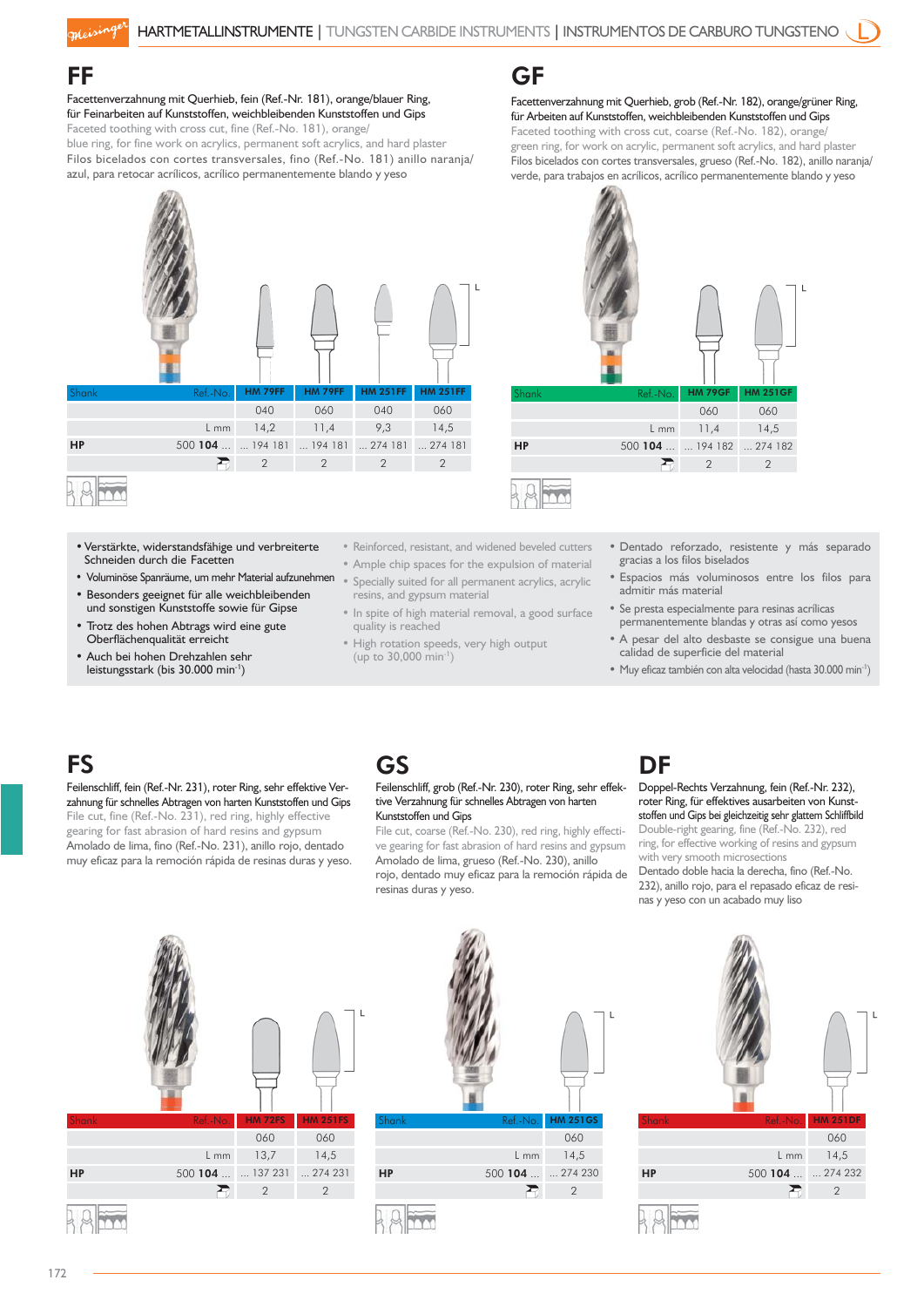#### FF

moising

Facettenverzahnung mit Querhieb, fein (Ref.-Nr. 181), orange/blauer Ring, für Feinarbeiten auf Kunststoffen, weichbleibenden Kunststoffen und Gips Faceted toothing with cross cut, fine (Ref.-No. 181), orange/ blue ring, for fine work on acrylics, permanent soft acrylics, and hard plaster Filos bicelados con cortes transversales, fino (Ref.-No. 181) anillo naranja/

azul, para retocar acrílicos, acrílico permanentemente blando y yeso



- Verstärkte, widerstandsfähige und verbreiterte Schneiden durch die Facetten
- Voluminöse Spanräume, um mehr Material aufzunehmen
- Besonders geeignet für alle weichbleibenden und sonstigen Kunststoffe sowie für Gipse
- Trotz des hohen Abtrags wird eine gute Oberflächenqualität erreicht
- Auch bei hohen Drehzahlen sehr leistungsstark (bis 30.000 min-1)
- Reinforced, resistant, and widened beveled cutters
- Ample chip spaces for the expulsion of material • Specially suited for all permanent acrylics, acrylic resins, and gypsum material
- In spite of high material removal, a good surface quality is reached
- High rotation speeds, very high output (up to 30,000 min-1)

GF

#### Facettenverzahnung mit Querhieb, grob (Ref.-Nr. 182), orange/grüner Ring, für Arbeiten auf Kunststoffen, weichbleibenden Kunststoffen und Gips Faceted toothing with cross cut, coarse (Ref.-No. 182), orange/ green ring, for work on acrylic, permanent soft acrylics, and hard plaster

Filos bicelados con cortes transversales, grueso (Ref.-No. 182), anillo naranja/ verde, para trabajos en acrílicos, acrílico permanentemente blando y yeso



- Dentado reforzado, resistente y más separado gracias a los filos biselados
- Espacios más voluminosos entre los filos para admitir más material
- Se presta especialmente para resinas acrílicas permanentemente blandas y otras así como yesos
- A pesar del alto desbaste se consigue una buena calidad de superficie del material
- Muy eficaz también con alta velocidad (hasta 30.000 min-1 )

### **FS**

#### Feilenschliff, fein (Ref.-Nr. 231), roter Ring, sehr effektive Verzahnung für schnelles Abtragen von harten Kunststoffen und Gips File cut, fine (Ref.-No. 231), red ring, highly effective gearing for fast abrasion of hard resins and gypsum Amolado de lima, fino (Ref.-No. 231), anillo rojo, dentado muy eficaz para la remoción rápida de resinas duras y yeso.

### GS

#### Feilenschliff, grob (Ref.-Nr. 230), roter Ring, sehr effektive Verzahnung für schnelles Abtragen von harten Kunststoffen und Gips

File cut, coarse (Ref.-No. 230), red ring, highly effective gearing for fast abrasion of hard resins and gypsum Amolado de lima, grueso (Ref.-No. 230), anillo rojo, dentado muy eficaz para la remoción rápida de resinas duras y yeso.

### DF

#### Doppel-Rechts Verzahnung, fein (Ref.-Nr. 232), roter Ring, für effektives ausarbeiten von Kunststoffen und Gips bei gleichzeitig sehr glattem Schliffbild Double-right gearing, fine (Ref.-No. 232), red ring, for effective working of resins and gypsum with very smooth microsections

Dentado doble hacia la derecha, fino (Ref.-No. 232), anillo rojo, para el repasado eficaz de resinas y yeso con un acabado muy liso









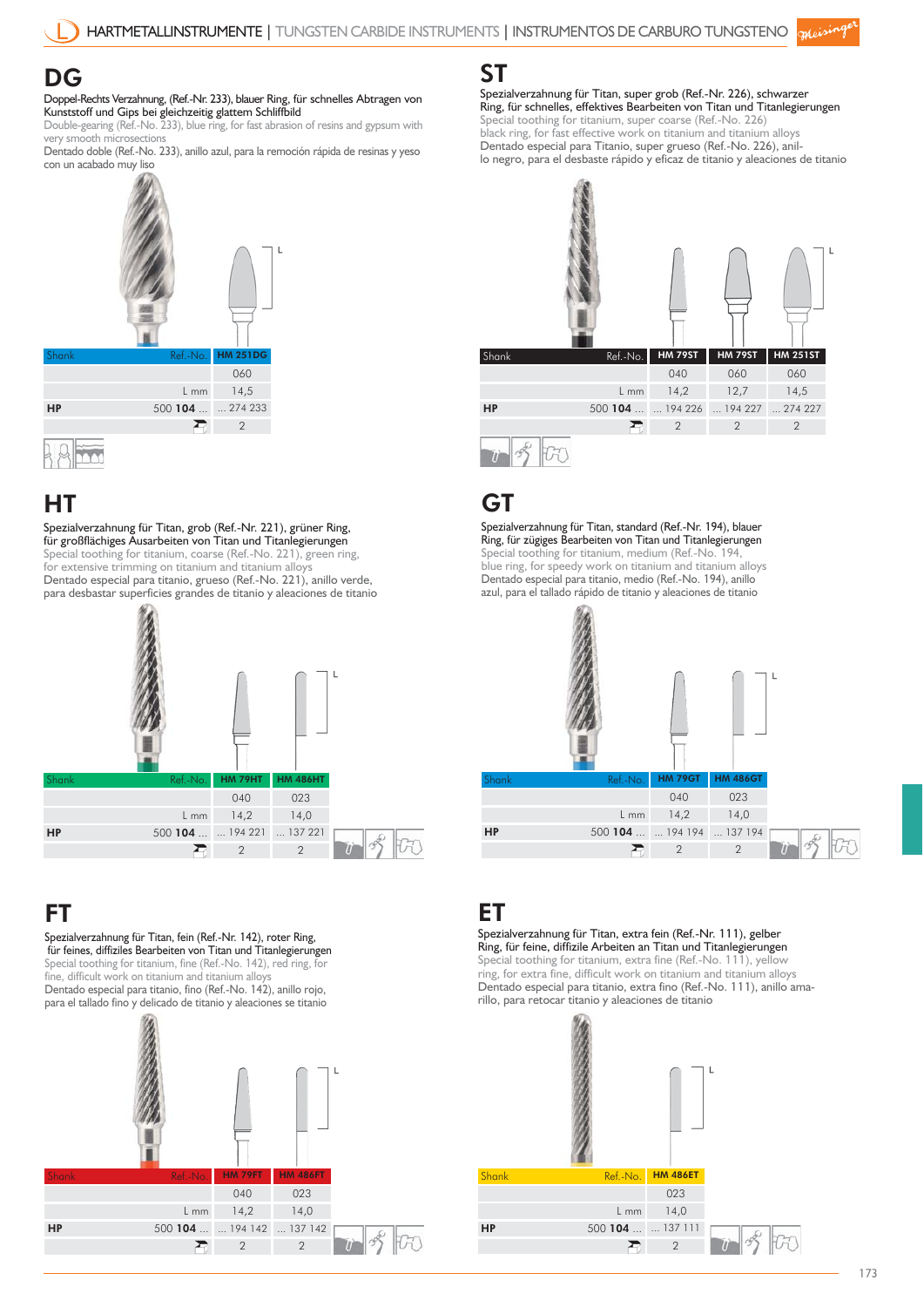### DG

Doppel-Rechts Verzahnung, (Ref.-Nr. 233), blauer Ring, für schnelles Abtragen von Kunststoff und Gips bei gleichzeitig glattem Schliffbild

Double-gearing (Ref.-No. 233), blue ring, for fast abrasion of resins and gypsum with very smooth microsection

Dentado doble (Ref.-No. 233), anillo azul, para la remoción rápida de resinas y yeso con un acabado muy liso



### HT

Spezialverzahnung für Titan, grob (Ref.-Nr. 221), grüner Ring, für großflächiges Ausarbeiten von Titan und Titanlegierungen Special toothing for titanium, coarse (Ref.-No. 221), green ring, for extensive trimming on titanium and titanium alloys Dentado especial para titanio, grueso (Ref.-No. 221), anillo verde, para desbastar superficies grandes de titanio y aleaciones de titanio



### FT

Spezialverzahnung für Titan, fein (Ref.-Nr. 142), roter Ring, für feines, diffiziles Bearbeiten von Titan und Titanlegierungen Special toothing for titanium, fine (Ref.-No. 142), red ring, for fine, difficult work on titanium and titanium alloy Dentado especial para titanio, fino (Ref.-No. 142), anillo rojo, para el tallado fino y delicado de titanio y aleaciones se titanio



ST

Spezialverzahnung für Titan, super grob (Ref.-Nr. 226), schwarzer Ring, für schnelles, effektives Bearbeiten von Titan und Titanlegierungen Special toothing for titanium, super coarse (Ref.-No. 226) black ring, for fast effective work on titanium and titanium alloys Dentado especial para Titanio, super grueso (Ref.-No. 226), anillo negro, para el desbaste rápido y eficaz de titanio y aleaciones de titanio



### **GT**

Spezialverzahnung für Titan, standard (Ref.-Nr. 194), blauer Ring, für zügiges Bearbeiten von Titan und Titanlegierungen Special toothing for titanium, medium (Ref.-No. 194, blue ring, for speedy work on titanium and titanium alloys Dentado especial para titanio, medio (Ref.-No. 194), anillo azul, para el tallado rápido de titanio y aleaciones de titanio



### ET

Spezialverzahnung für Titan, extra fein (Ref.-Nr. 111), gelber Ring, für feine, diffizile Arbeiten an Titan und Titanlegierungen Special toothing for titanium, extra fine (Ref.-No. 111), yellow ring, for extra fine, difficult work on titanium and titanium alloys Dentado especial para titanio, extra fino (Ref.-No. 111), anillo ama-

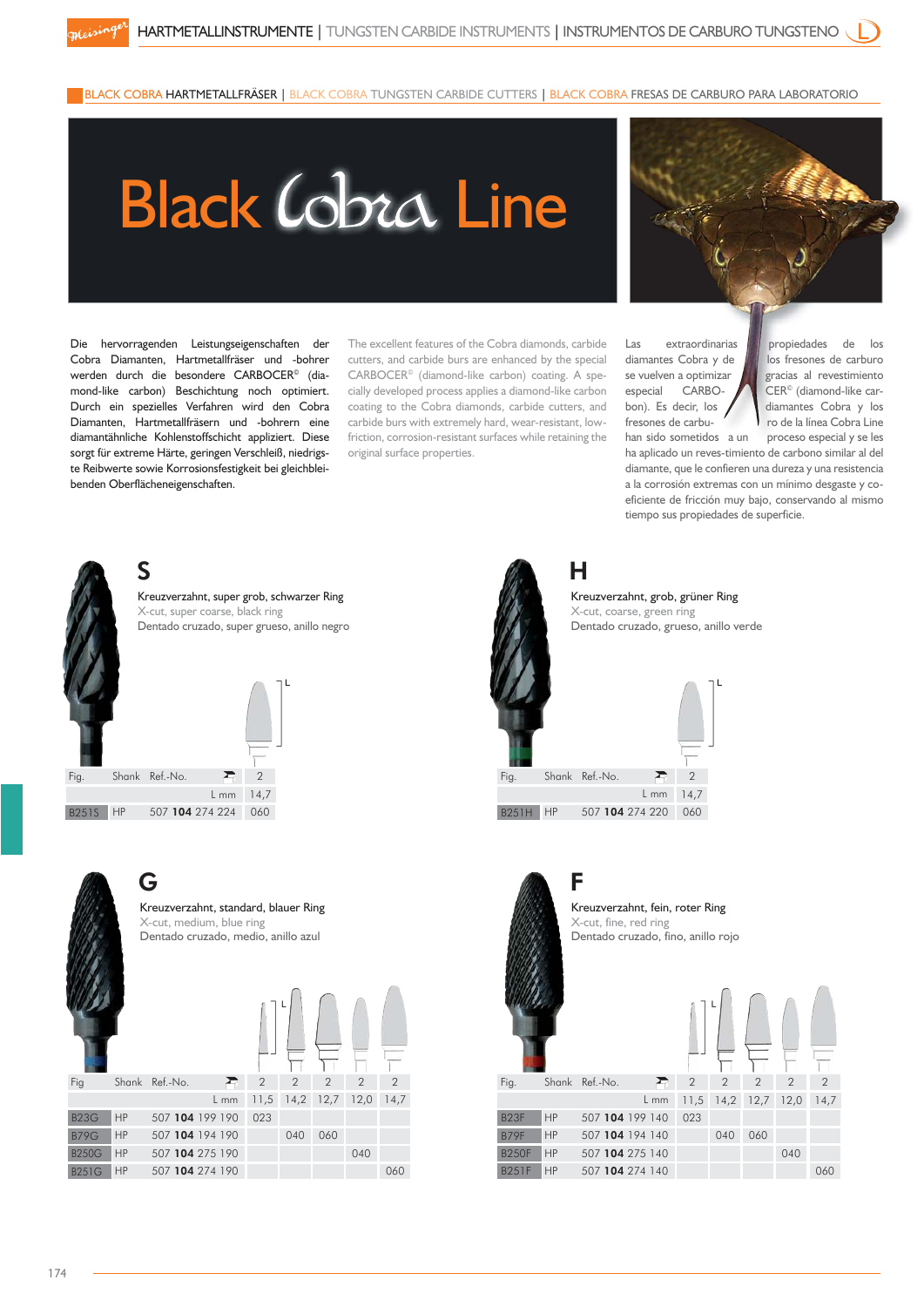BLACK COBRA HARTMETALLFRÄSER | BLACK COBRA TUNGSTEN CARBIDE CUTTERS | BLACK COBRA FRESAS DE CARBURO PARA LABORATORIO

# **Black Lobra Line**

Die hervorragenden Leistungseigenschaften der Cobra Diamanten, Hartmetallfräser und -bohrer werden durch die besondere CARBOCER<sup>®</sup> (diamond-like carbon) Beschichtung noch optimiert. Durch ein spezielles Verfahren wird den Cobra Diamanten, Hartmetallfräsern und -bohrern eine diamantähnliche Kohlenstoffschicht appliziert. Diese sorgt für extreme Härte, geringen Verschleiß, niedrigste Reibwerte sowie Korrosionsfestigkeit bei gleichbleibenden Oberflächeneigenschaften.

The excellent features of the Cobra diamonds, carbide cutters, and carbide burs are enhanced by the special CARBOCER© (diamond-like carbon) coating. A specially developed process applies a diamond-like carbon coating to the Cobra diamonds, carbide cutters, and carbide burs with extremely hard, wear-resistant, lowfriction, corrosion-resistant surfaces while retaining the original surface properties.



Las extraordinarias  $\|\cdot\|$  propiedades de los han sido sometidos a un proceso especial y se les

diamantes Cobra y de  $\|$  los fresones de carburo se vuelven a optimizar **gracias** al revestimiento especial CARBO- CER<sup>®</sup> (diamond-like carbon). Es decir, los diamantes Cobra y los fresones de carbu-<br>
ro de la línea Cobra Line

ha aplicado un reves-timiento de carbono similar al del diamante, que le confieren una dureza y una resistencia a la corrosión extremas con un mínimo desgaste y coeficiente de fricción muy bajo, conservando al mismo tiempo sus propiedades de superficie.







Kreuzverzahnt, grob, grüner Ring X-cut, coarse, green ring Dentado cruzado, grueso, anillo verde

| Fig.         |    | Shank Ref.-No.  | ≂    | $\overline{2}$ |
|--------------|----|-----------------|------|----------------|
|              |    |                 | L mm | 14,7           |
| <b>B251H</b> | HP | 507 104 274 220 |      | 060            |
|              |    |                 |      |                |



F Kreuzverzahnt, fein, roter Ring X-cut, fine, red ring Dentado cruzado, fino, anillo rojo

| ıank | Ref.-No.        | $\overline{2}$ | $\overline{2}$ | $\overline{2}$ | $\overline{2}$ | $\overline{2}$ |  |
|------|-----------------|----------------|----------------|----------------|----------------|----------------|--|
|      | $L$ mm          | 11,5           | 14,2           | 12,7           | 12,0           | 14,7           |  |
|      | 507 104 199 140 | 023            |                |                |                |                |  |
| Þ    | 507 104 194 140 |                | 040            | 060            |                |                |  |
| Þ    | 507 104 275 140 |                |                |                | 040            |                |  |
| P    | 507 104 274 140 |                |                |                |                | 060            |  |
|      |                 |                |                |                |                |                |  |